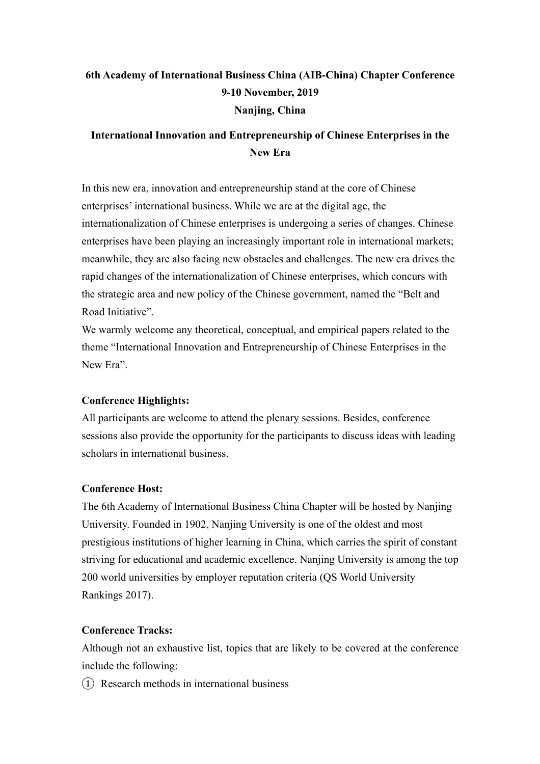# **6th Academy of International Business China (AIB-China) Chapter Conference 9-10 November, 2019 Nanjing, China**

## **International Innovation and Entrepreneurship of Chinese Enterprises in the New Era**

In this new era, innovation and entrepreneurship stand at the core of Chinese enterprises' international business. While we are at the digital age, the internationalization of Chinese enterprises is undergoing a series of changes. Chinese enterprises have been playing an increasingly important role in international markets; meanwhile, they are also facing new obstacles and challenges. The new era drives the rapid changes of the internationalization of Chinese enterprises, which concurs with the strategic area and new policy of the Chinese government, named the "Belt and Road Initiative".

We warmly welcome any theoretical, conceptual, and empirical papers related to the theme "International Innovation and Entrepreneurship of Chinese Enterprises in the New Era".

#### **Conference Highlights:**

All participants are welcome to attend the plenary sessions. Besides, conference sessions also provide the opportunity for the participants to discuss ideas with leading scholars in international business.

#### **Conference Host:**

The 6th Academy of International Business China Chapter will be hosted by Nanjing University. Founded in 1902, Nanjing University is one of the oldest and most prestigious institutions of higher learning in China, which carries the spirit of constant striving for educational and academic excellence. Nanjing University is among the top 200 world universities by employer reputation criteria (QS World University Rankings 2017).

#### **Conference Tracks:**

Although not an exhaustive list, topics that are likely to be covered at the conference include the following:

 $(1)$  Research methods in international business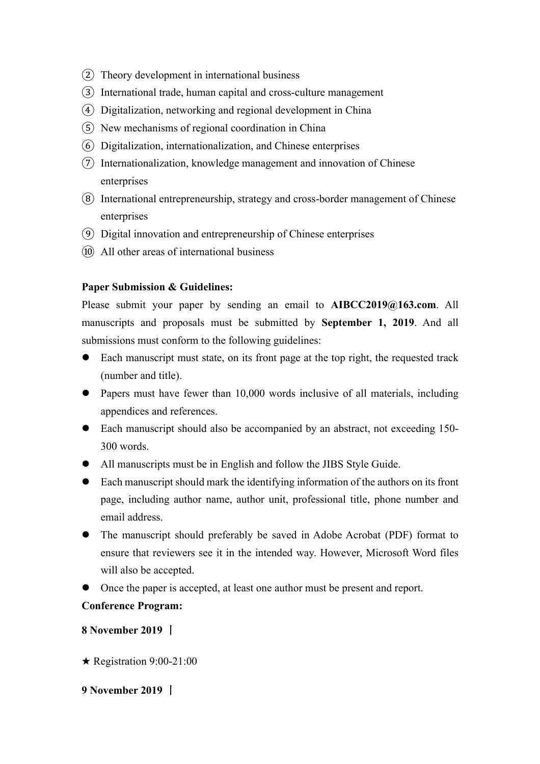- ② Theory development in international business
- ③ International trade, human capital and cross-culture management
- ④ Digitalization, networking and regional development in China
- ⑤ New mechanisms of regional coordination in China
- ⑥ Digitalization, internationalization, and Chinese enterprises
- ⑦ Internationalization, knowledge management and innovation of Chinese enterprises
- ⑧ International entrepreneurship, strategy and cross-border management of Chinese enterprises
- ⑨ Digital innovation and entrepreneurship of Chinese enterprises
- ⑩ All other areas of international business

#### **Paper Submission & Guidelines:**

Please submit your paper by sending an email to **AIBCC2019@163.com**. All manuscripts and proposals must be submitted by **September 1, 2019**. And all submissions must conform to the following guidelines:

- Each manuscript must state, on its front page at the top right, the requested track (number and title).
- Papers must have fewer than  $10,000$  words inclusive of all materials, including appendices and references.
- Each manuscript should also be accompanied by an abstract, not exceeding 150-300 words.
- All manuscripts must be in English and follow the JIBS Style Guide.
- l Each manuscript should mark the identifying information of the authors on its front page, including author name, author unit, professional title, phone number and email address.
- The manuscript should preferably be saved in Adobe Acrobat (PDF) format to ensure that reviewers see it in the intended way. However, Microsoft Word files will also be accepted.
- Once the paper is accepted, at least one author must be present and report.

## **Conference Program:**

**8 November 2019** 丨

- $\star$  Registration 9:00-21:00
- **9 November 2019** 丨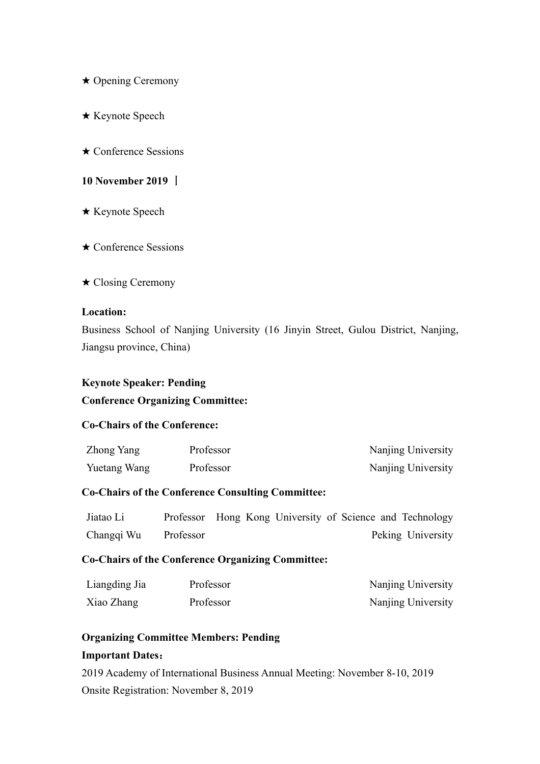- ★ Opening Ceremony
- ★ Keynote Speech
- ★ Conference Sessions

#### **10 November 2019** 丨

- ★ Keynote Speech
- ★ Conference Sessions
- ★ Closing Ceremony

#### **Location:**

Business School of Nanjing University (16 Jinyin Street, Gulou District, Nanjing, Jiangsu province, China)

#### **Keynote Speaker: Pending**

#### **Conference Organizing Committee:**

#### **Co-Chairs of the Conference:**

| Zhong Yang   | Professor | Nanjing University |
|--------------|-----------|--------------------|
| Yuetang Wang | Professor | Nanjing University |

#### **Co-Chairs of the Conference Consulting Committee:**

| Jiatao Li  |           | Professor Hong Kong University of Science and Technology |  |                   |
|------------|-----------|----------------------------------------------------------|--|-------------------|
| Changqi Wu | Professor |                                                          |  | Peking University |

#### **Co-Chairs of the Conference Organizing Committee:**

| Liangding Jia | Professor | Nanjing University |
|---------------|-----------|--------------------|
| Xiao Zhang    | Professor | Nanjing University |

#### **Organizing Committee Members: Pending**

#### **Important Dates**:

2019 Academy of International Business Annual Meeting: November 8-10, 2019 Onsite Registration: November 8, 2019